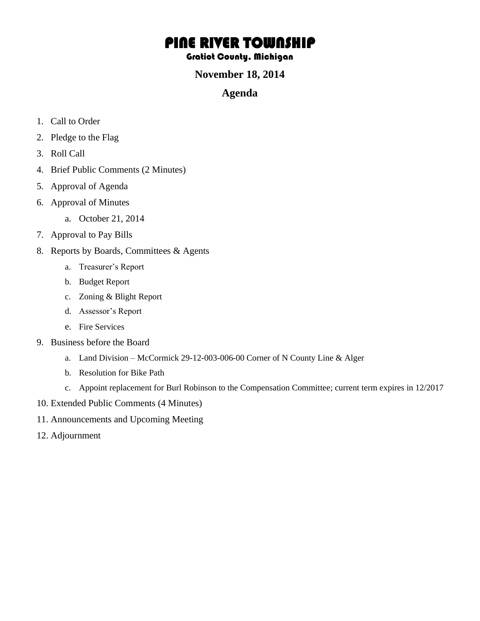# PINE RIVER TOWNSHIP

#### Gratiot County, Michigan

### **November 18, 2014**

## **Agenda**

- 1. Call to Order
- 2. Pledge to the Flag
- 3. Roll Call
- 4. Brief Public Comments (2 Minutes)
- 5. Approval of Agenda
- 6. Approval of Minutes
	- a. October 21, 2014
- 7. Approval to Pay Bills
- 8. Reports by Boards, Committees & Agents
	- a. Treasurer's Report
	- b. Budget Report
	- c. Zoning & Blight Report
	- d. Assessor's Report
	- e. Fire Services
- 9. Business before the Board
	- a. Land Division McCormick 29-12-003-006-00 Corner of N County Line & Alger
	- b. Resolution for Bike Path
	- c. Appoint replacement for Burl Robinson to the Compensation Committee; current term expires in 12/2017
- 10. Extended Public Comments (4 Minutes)
- 11. Announcements and Upcoming Meeting
- 12. Adjournment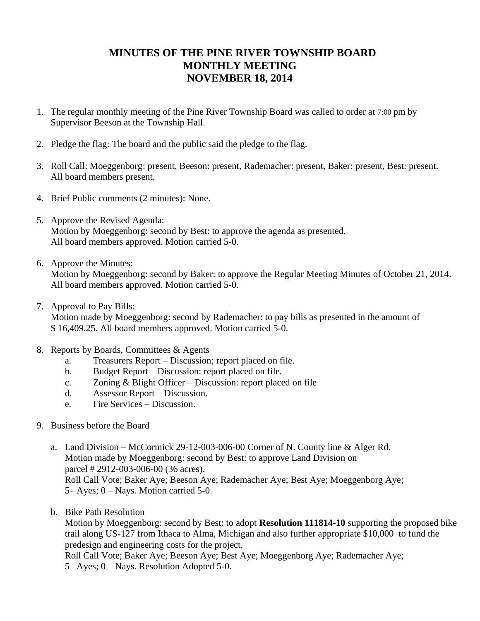# **MINUTES OF THE PINE RIVER TOWNSHIP BOARD MONTHLY MEETING NOVEMBER 18, 2014**

- 1. The regular monthly meeting of the Pine River Township Board was called to order at 7:00 pm by Supervisor Beeson at the Township Hall.
- 2. Pledge the flag: The board and the public said the pledge to the flag.
- 3. Roll Call: Moeggenborg: present, Beeson: present, Rademacher: present, Baker: present, Best: present. All board members present.
- 4. Brief Public comments (2 minutes): None.
- 5. Approve the Revised Agenda: Motion by Moeggenborg: second by Best: to approve the agenda as presented. All board members approved. Motion carried 5-0.
- 6. Approve the Minutes:

Motion by Moeggenborg: second by Baker: to approve the Regular Meeting Minutes of October 21, 2014. All board members approved. Motion carried 5-0.

7. Approval to Pay Bills:

Motion made by Moeggenborg: second by Rademacher: to pay bills as presented in the amount of \$ 16,409.25. All board members approved. Motion carried 5-0.

- 8. Reports by Boards, Committees & Agents
	- a. Treasurers Report Discussion; report placed on file.
	- b. Budget Report Discussion: report placed on file.
	- c. Zoning & Blight Officer Discussion: report placed on file
	- d. Assessor Report Discussion.
	- e. Fire Services Discussion.
- 9. Business before the Board
	- a. Land Division McCormick 29-12-003-006-00 Corner of N. County line & Alger Rd. Motion made by Moeggenborg: second by Best: to approve Land Division on parcel # 2912-003-006-00 (36 acres). Roll Call Vote; Baker Aye; Beeson Aye; Rademacher Aye; Best Aye; Moeggenborg Aye; 5– Ayes; 0 – Nays. Motion carried 5-0.
	- b. Bike Path Resolution

Motion by Moeggenborg: second by Best: to adopt **Resolution 111814-10** supporting the proposed bike trail along US-127 from Ithaca to Alma, Michigan and also further appropriate \$10,000 to fund the predesign and engineering costs for the project.

 Roll Call Vote; Baker Aye; Beeson Aye; Best Aye; Moeggenborg Aye; Rademacher Aye; 5– Ayes; 0 – Nays. Resolution Adopted 5-0.